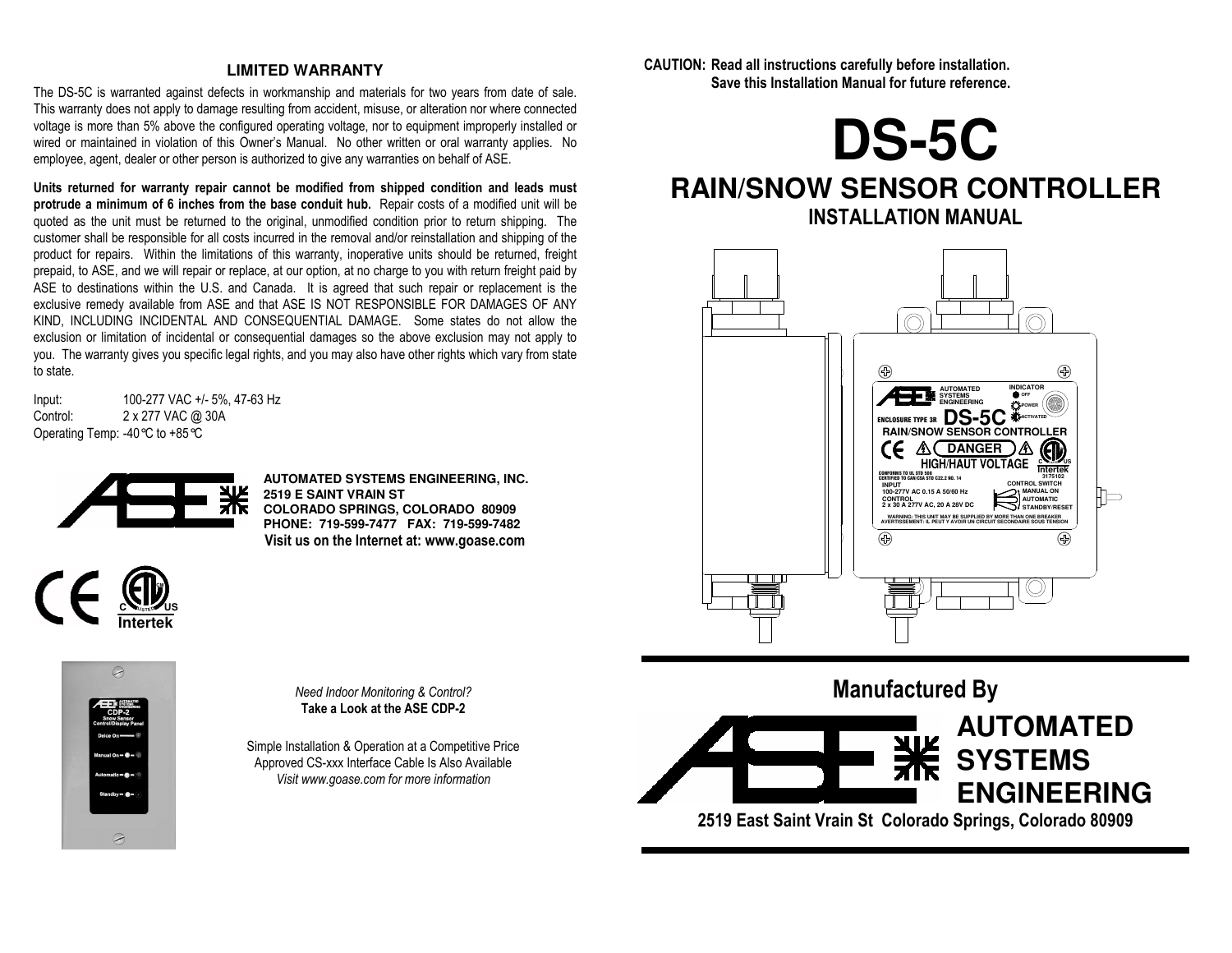#### **LIMITED WARRANTY**

The DS-5C is warranted against defects in workmanship and materials for two years from date of sale. This warranty does not apply to damage resulting from accident, misuse, or alteration nor where connected voltage is more than 5% above the configured operating voltage, nor to equipment improperly installed or wired or maintained in violation of this Owner's Manual. No other written or oral warranty applies. No employee, agent, dealer or other person is authorized to give any warranties on behalf of ASE.

**Units returned for warranty repair cannot be modified from shipped condition and leads must protrude a minimum of 6 inches from the base conduit hub.** Repair costs of a modified unit will be quoted as the unit must be returned to the original, unmodified condition prior to return shipping. The customer shall be responsible for all costs incurred in the removal and/or reinstallation and shipping of the product for repairs. Within the limitations of this warranty, inoperative units should be returned, freight prepaid, to ASE, and we will repair or replace, at our option, at no charge to you with return freight paid by ASE to destinations within the U.S. and Canada. It is agreed that such repair or replacement is the exclusive remedy available from ASE and that ASE IS NOT RESPONSIBLE FOR DAMAGES OF ANY KIND, INCLUDING INCIDENTAL AND CONSEQUENTIAL DAMAGE. Some states do not allow the exclusion or limitation of incidental or consequential damages so the above exclusion may not apply to you. The warranty gives you specific legal rights, and you may also have other rights which vary from state to state.

Input: 100-277 VAC +/- 5%, 47-63 Hz<br>Control: 2 x 277 VAC @ 30A 2 x 277 VAC @ 30A Operating Temp: -40°C to +85°C



**AUTOMATED SYSTEMS ENGINEERING, INC. 2519 E SAINT VRAIN ST COLORADO SPRINGS, COLORADO 80909 PHONE: 719-599-7477 FAX: 719-599-7482 Visit us on the Internet at: www.goase.com** 





*Need Indoor Monitoring & Control?* **Take a Look at the ASE CDP-2** 

Simple Installation & Operation at a Competitive Price Approved CS-xxx Interface Cable Is Also Available *Visit www.goase.com for more information* 

**CAUTION: Read all instructions carefully before installation. Save this Installation Manual for future reference.** 



# **RAIN/SNOW SENSOR CONTROLLER INSTALLATION MANUAL**



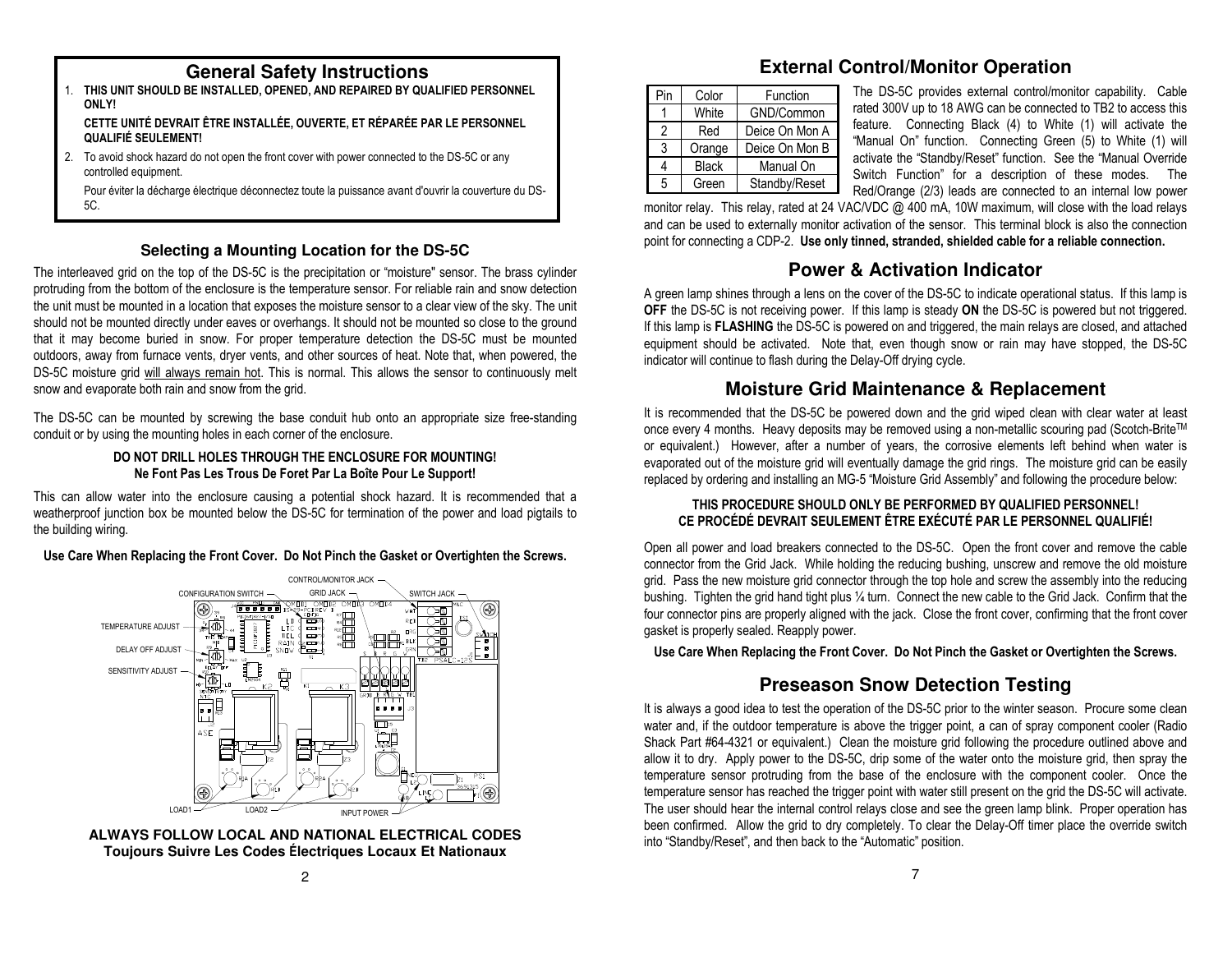### **General Safety Instructions**

 1. **THIS UNIT SHOULD BE INSTALLED, OPENED, AND REPAIRED BY QUALIFIED PERSONNEL ONLY!** 

 **CETTE UNITÉ DEVRAIT ÊTRE INSTALLÉE, OUVERTE, ET RÉPARÉE PAR LE PERSONNEL QUALIFIÉ SEULEMENT!** 

2. To avoid shock hazard do not open the front cover with power connected to the DS-5C or any controlled equipment.

 Pour éviter la décharge électrique déconnectez toute la puissance avant d'ouvrir la couverture du DS-5C.

### **Selecting a Mounting Location for the DS-5C**

The interleaved grid on the top of the DS-5C is the precipitation or "moisture" sensor. The brass cylinder protruding from the bottom of the enclosure is the temperature sensor. For reliable rain and snow detection the unit must be mounted in a location that exposes the moisture sensor to a clear view of the sky. The unit should not be mounted directly under eaves or overhangs. It should not be mounted so close to the ground that it may become buried in snow. For proper temperature detection the DS-5C must be mounted outdoors, away from furnace vents, dryer vents, and other sources of heat. Note that, when powered, the DS-5C moisture grid will always remain hot. This is normal. This allows the sensor to continuously melt snow and evaporate both rain and snow from the grid.<br>The DS-5C can be mounted by screwing the base conduit hub onto an appropriate size free-standing

conduit or by using the mounting holes in each corner of the enclosure.

#### **DO NOT DRILL HOLES THROUGH THE ENCLOSURE FOR MOUNTING! Ne Font Pas Les Trous De Foret Par La Boîte Pour Le Support!**

This can allow water into the enclosure causing a potential shock hazard. It is recommended that a weatherproof junction box be mounted below the DS-5C for termination of the power and load pigtails tothe building wiring.

**Use Care When Replacing the Front Cover. Do Not Pinch the Gasket or Overtighten the Screws.**



**ALWAYS FOLLOW LOCAL AND NATIONAL ELECTRICAL CODES Toujours Suivre Les Codes Électriques Locaux Et Nationaux** 

# **External Control/Monitor Operation**

| Pin | Color        | Function       |  |  |
|-----|--------------|----------------|--|--|
|     | White        | GND/Common     |  |  |
| 2   | Red          | Deice On Mon A |  |  |
| 3   | Orange       | Deice On Mon B |  |  |
| 4   | <b>Black</b> | Manual On      |  |  |
| 5   | Green        | Standby/Reset  |  |  |

The DS-5C provides external control/monitor capability. Cable rated 300V up to 18 AWG can be connected to TB2 to access this feature. Connecting Black (4) to White (1) will activate the "Manual On" function. Connecting Green (5) to White (1) will activate the "Standby/Reset" function. See the "Manual Override Switch Function" for a description of these modes. The Red/Orange (2/3) leads are connected to an internal low power

 monitor relay. This relay, rated at 24 VAC/VDC @ 400 mA, 10W maximum, will close with the load relays and can be used to externally monitor activation of the sensor. This terminal block is also the connection point for connecting a CDP-2. **Use only tinned, stranded, shielded cable for a reliable connection.**

# **Power & Activation Indicator**

A green lamp shines through a lens on the cover of the DS-5C to indicate operational status. If this lamp is **OFF** the DS-5C is not receiving power. If this lamp is steady **ON** the DS-5C is powered but not triggered. If this lamp is **FLASHING** the DS-5C is powered on and triggered, the main relays are closed, and attached equipment should be activated. Note that, even though snow or rain may have stopped, the DS-5C indicator will continue to flash during the Delay-Off drying cycle.

## **Moisture Grid Maintenance & Replacement**

It is recommended that the DS-5C be powered down and the grid wiped clean with clear water at least once every 4 months. Heavy deposits may be removed using a non-metallic scouring pad (Scotch-Brite™ or equivalent.) However, after a number of years, the corrosive elements left behind when water is evaporated out of the moisture grid will eventually damage the grid rings. The moisture grid can be easily replaced by ordering and installing an MG-5 "Moisture Grid Assembly" and following the procedure below:

#### **THIS PROCEDURE SHOULD ONLY BE PERFORMED BY QUALIFIED PERSONNEL! CE PROCÉDÉ DEVRAIT SEULEMENT ÊTRE EXÉCUTÉ PAR LE PERSONNEL QUALIFIÉ!**

Open all power and load breakers connected to the DS-5C. Open the front cover and remove the cable connector from the Grid Jack. While holding the reducing bushing, unscrew and remove the old moisture grid. Pass the new moisture grid connector through the top hole and screw the assembly into the reducing bushing. Tighten the grid hand tight plus ¼ turn. Connect the new cable to the Grid Jack. Confirm that the four connector pins are properly aligned with the jack. Close the front cover, confirming that the front cover gasket is properly sealed. Reapply power.

**Use Care When Replacing the Front Cover. Do Not Pinch the Gasket or Overtighten the Screws.**

# **Preseason Snow Detection Testing**

It is always a good idea to test the operation of the DS-5C prior to the winter season. Procure some clean water and, if the outdoor temperature is above the trigger point, a can of spray component cooler (Radio Shack Part #64-4321 or equivalent.) Clean the moisture grid following the procedure outlined above and allow it to dry. Apply power to the DS-5C, drip some of the water onto the moisture grid, then spray the temperature sensor protruding from the base of the enclosure with the component cooler. Once the temperature sensor has reached the trigger point with water still present on the grid the DS-5C will activate. The user should hear the internal control relays close and see the green lamp blink. Proper operation has been confirmed. Allow the grid to dry completely. To clear the Delay-Off timer place the override switch into "Standby/Reset", and then back to the "Automatic" position.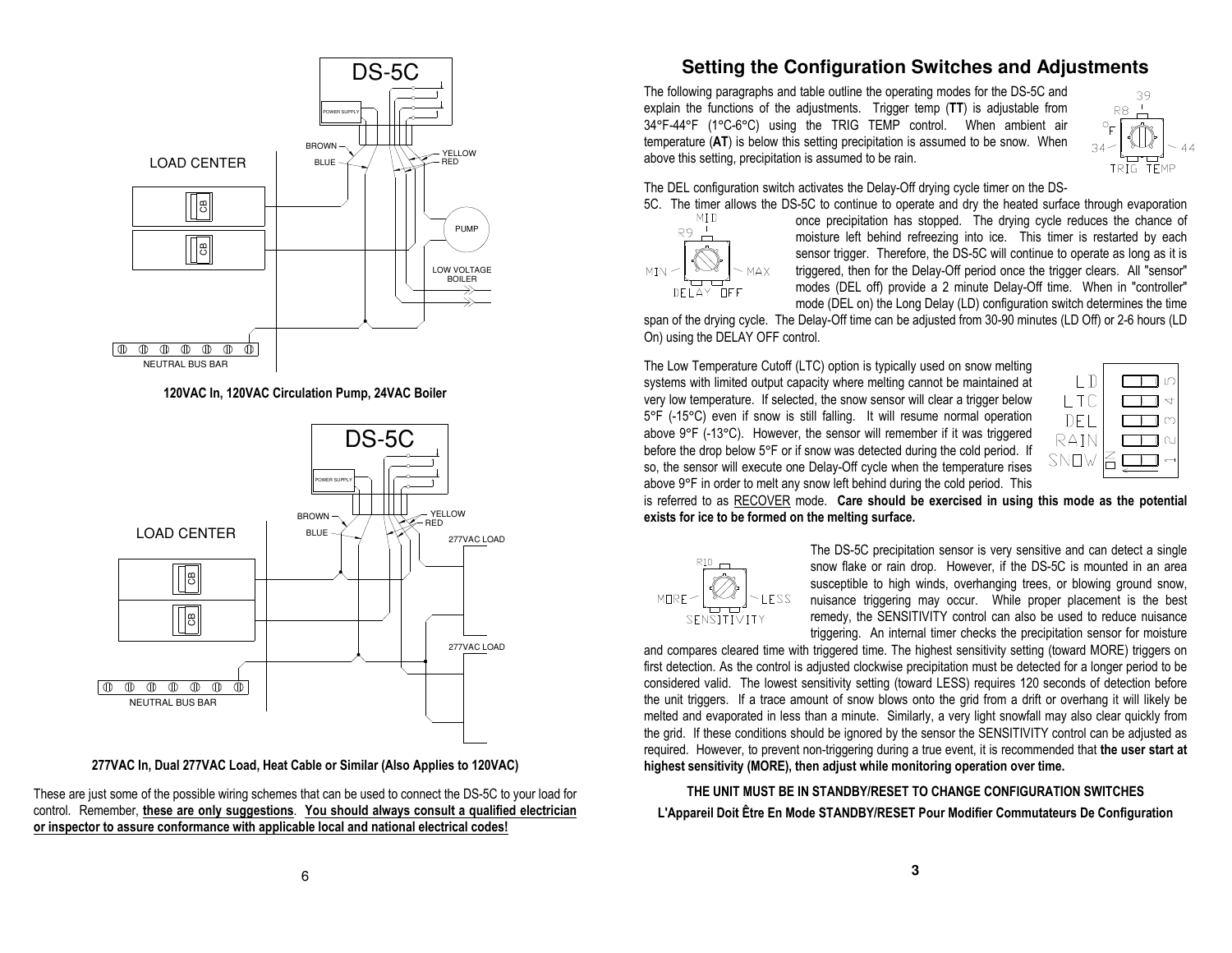

**120VAC In, 120VAC Circulation Pump, 24VAC Boiler** 



**277VAC In, Dual 277VAC Load, Heat Cable or Similar (Also Applies to 120VAC)** 

These are just some of the possible wiring schemes that can be used to connect the DS-5C to your load for control. Remember, **these are only suggestions**. **You should always consult a qualified electrician or inspector to assure conformance with applicable local and national electrical codes!**

## **Setting the Configuration Switches and Adjustments**

The following paragraphs and table outline the operating modes for the DS-5C and explain the functions of the adjustments. Trigger temp (**TT**) is adjustable from 34°F-44°F (1°C-6°C) using the TRIG TEMP control. When ambient air temperature (**AT**) is below this setting precipitation is assumed to be snow. When above this setting, precipitation is assumed to be rain.



The DEL configuration switch activates the Delay-Off drying cycle timer on the DS-



5C. The timer allows the DS-5C to continue to operate and dry the heated surface through evaporation MID once precipitation has stopped. The drying cycle reduces the chance of once precipitation has stopped. The drying cycle reduces the chance of moisture left behind refreezing into ice. This timer is restarted by each sensor trigger. Therefore, the DS-5C will continue to operate as long as it is triggered, then for the Delay-Off period once the trigger clears. All "sensor" modes (DEL off) provide a 2 minute Delay-Off time. When in "controller" mode (DEL on) the Long Delay (LD) configuration switch determines the time

 span of the drying cycle. The Delay-Off time can be adjusted from 30-90 minutes (LD Off) or 2-6 hours (LD On) using the DELAY OFF control.

The Low Temperature Cutoff (LTC) option is typically used on snow melting systems with limited output capacity where melting cannot be maintained at very low temperature. If selected, the snow sensor will clear a trigger below 5°F (-15°C) even if snow is still falling. It will resume normal operation above 9°F (-13°C). However, the sensor will remember if it was triggered before the drop below 5°F or if snow was detected during the cold period. If so, the sensor will execute one Delay-Off cycle when the temperature rises above 9°F in order to melt any snow left behind during the cold period. This



 is referred to as RECOVER mode. **Care should be exercised in using this mode as the potential exists for ice to be formed on the melting surface.**



The DS-5C precipitation sensor is very sensitive and can detect a single snow flake or rain drop. However, if the DS-5C is mounted in an area susceptible to high winds, overhanging trees, or blowing ground snow, nuisance triggering may occur. While proper placement is the best remedy, the SENSITIVITY control can also be used to reduce nuisance triggering. An internal timer checks the precipitation sensor for moisture

and compares cleared time with triggered time. The highest sensitivity setting (toward MORE) triggers on first detection. As the control is adjusted clockwise precipitation must be detected for a longer period to be considered valid. The lowest sensitivity setting (toward LESS) requires 120 seconds of detection before the unit triggers. If a trace amount of snow blows onto the grid from a drift or overhang it will likely be melted and evaporated in less than a minute. Similarly, a very light snowfall may also clear quickly from the grid. If these conditions should be ignored by the sensor the SENSITIVITY control can be adjusted as required. However, to prevent non-triggering during a true event, it is recommended that **the user start at highest sensitivity (MORE), then adjust while monitoring operation over time.**

**THE UNIT MUST BE IN STANDBY/RESET TO CHANGE CONFIGURATION SWITCHESL'Appareil Doit Être En Mode STANDBY/RESET Pour Modifier Commutateurs De Configuration**